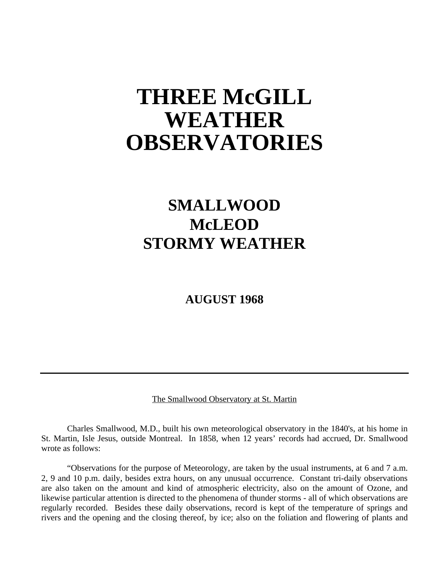# **THREE McGILL WEATHER OBSERVATORIES**

# **SMALLWOOD McLEOD STORMY WEATHER**

**AUGUST 1968**

The Smallwood Observatory at St. Martin

Charles Smallwood, M.D., built his own meteorological observatory in the 1840's, at his home in St. Martin, Isle Jesus, outside Montreal. In 1858, when 12 years' records had accrued, Dr. Smallwood wrote as follows:

"Observations for the purpose of Meteorology, are taken by the usual instruments, at 6 and 7 a.m. 2, 9 and 10 p.m. daily, besides extra hours, on any unusual occurrence. Constant tri-daily observations are also taken on the amount and kind of atmospheric electricity, also on the amount of Ozone, and likewise particular attention is directed to the phenomena of thunder storms - all of which observations are regularly recorded. Besides these daily observations, record is kept of the temperature of springs and rivers and the opening and the closing thereof, by ice; also on the foliation and flowering of plants and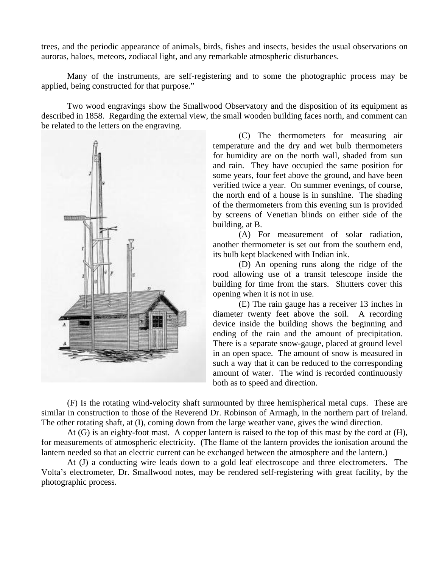trees, and the periodic appearance of animals, birds, fishes and insects, besides the usual observations on auroras, haloes, meteors, zodiacal light, and any remarkable atmospheric disturbances.

Many of the instruments, are self-registering and to some the photographic process may be applied, being constructed for that purpose."

Two wood engravings show the Smallwood Observatory and the disposition of its equipment as described in 1858. Regarding the external view, the small wooden building faces north, and comment can be related to the letters on the engraving.



(C) The thermometers for measuring air temperature and the dry and wet bulb thermometers for humidity are on the north wall, shaded from sun and rain. They have occupied the same position for some years, four feet above the ground, and have been verified twice a year. On summer evenings, of course, the north end of a house is in sunshine. The shading of the thermometers from this evening sun is provided by screens of Venetian blinds on either side of the building, at B.

(A) For measurement of solar radiation, another thermometer is set out from the southern end, its bulb kept blackened with Indian ink.

(D) An opening runs along the ridge of the rood allowing use of a transit telescope inside the building for time from the stars. Shutters cover this opening when it is not in use.

(E) The rain gauge has a receiver 13 inches in diameter twenty feet above the soil. A recording device inside the building shows the beginning and ending of the rain and the amount of precipitation. There is a separate snow-gauge, placed at ground level in an open space. The amount of snow is measured in such a way that it can be reduced to the corresponding amount of water. The wind is recorded continuously both as to speed and direction.

(F) Is the rotating wind-velocity shaft surmounted by three hemispherical metal cups. These are similar in construction to those of the Reverend Dr. Robinson of Armagh, in the northern part of Ireland. The other rotating shaft, at (I), coming down from the large weather vane, gives the wind direction.

At (G) is an eighty-foot mast. A copper lantern is raised to the top of this mast by the cord at (H), for measurements of atmospheric electricity. (The flame of the lantern provides the ionisation around the lantern needed so that an electric current can be exchanged between the atmosphere and the lantern.)

At (J) a conducting wire leads down to a gold leaf electroscope and three electrometers. The Volta's electrometer, Dr. Smallwood notes, may be rendered self-registering with great facility, by the photographic process.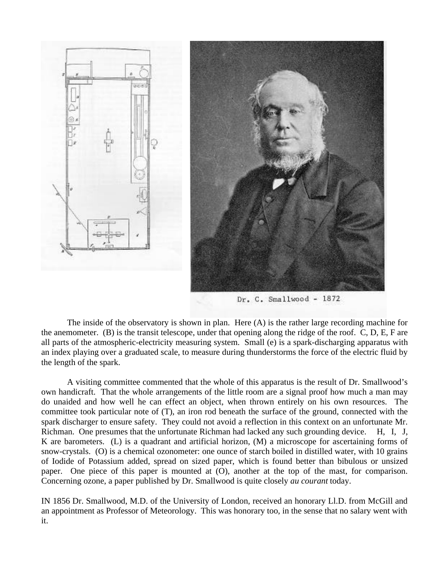

Dr. C. Smallwood - 1872

The inside of the observatory is shown in plan. Here (A) is the rather large recording machine for the anemometer. (B) is the transit telescope, under that opening along the ridge of the roof. C, D, E, F are all parts of the atmospheric-electricity measuring system. Small (e) is a spark-discharging apparatus with an index playing over a graduated scale, to measure during thunderstorms the force of the electric fluid by the length of the spark.

A visiting committee commented that the whole of this apparatus is the result of Dr. Smallwood's own handicraft. That the whole arrangements of the little room are a signal proof how much a man may do unaided and how well he can effect an object, when thrown entirely on his own resources. The committee took particular note of (T), an iron rod beneath the surface of the ground, connected with the spark discharger to ensure safety. They could not avoid a reflection in this context on an unfortunate Mr. Richman. One presumes that the unfortunate Richman had lacked any such grounding device. H, I, J, K are barometers. (L) is a quadrant and artificial horizon, (M) a microscope for ascertaining forms of snow-crystals. (O) is a chemical ozonometer: one ounce of starch boiled in distilled water, with 10 grains of Iodide of Potassium added, spread on sized paper, which is found better than bibulous or unsized paper. One piece of this paper is mounted at (O), another at the top of the mast, for comparison. Concerning ozone, a paper published by Dr. Smallwood is quite closely *au courant* today.

IN 1856 Dr. Smallwood, M.D. of the University of London, received an honorary Ll.D. from McGill and an appointment as Professor of Meteorology. This was honorary too, in the sense that no salary went with it.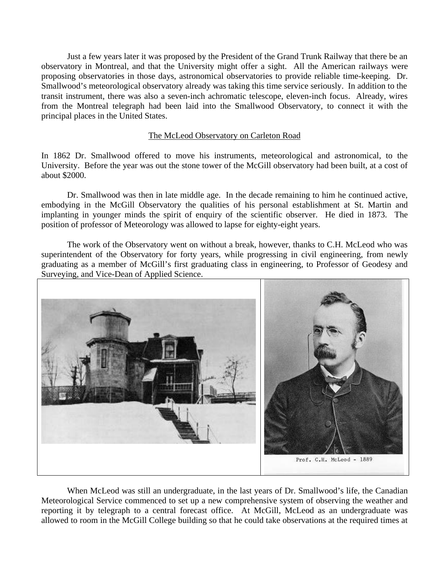Just a few years later it was proposed by the President of the Grand Trunk Railway that there be an observatory in Montreal, and that the University might offer a sight. All the American railways were proposing observatories in those days, astronomical observatories to provide reliable time-keeping. Dr. Smallwood's meteorological observatory already was taking this time service seriously. In addition to the transit instrument, there was also a seven-inch achromatic telescope, eleven-inch focus. Already, wires from the Montreal telegraph had been laid into the Smallwood Observatory, to connect it with the principal places in the United States.

## The McLeod Observatory on Carleton Road

In 1862 Dr. Smallwood offered to move his instruments, meteorological and astronomical, to the University. Before the year was out the stone tower of the McGill observatory had been built, at a cost of about \$2000.

Dr. Smallwood was then in late middle age. In the decade remaining to him he continued active, embodying in the McGill Observatory the qualities of his personal establishment at St. Martin and implanting in younger minds the spirit of enquiry of the scientific observer. He died in 1873. The position of professor of Meteorology was allowed to lapse for eighty-eight years.

The work of the Observatory went on without a break, however, thanks to C.H. McLeod who was superintendent of the Observatory for forty years, while progressing in civil engineering, from newly graduating as a member of McGill's first graduating class in engineering, to Professor of Geodesy and Surveying, and Vice-Dean of Applied Science.



When McLeod was still an undergraduate, in the last years of Dr. Smallwood's life, the Canadian Meteorological Service commenced to set up a new comprehensive system of observing the weather and reporting it by telegraph to a central forecast office. At McGill, McLeod as an undergraduate was allowed to room in the McGill College building so that he could take observations at the required times at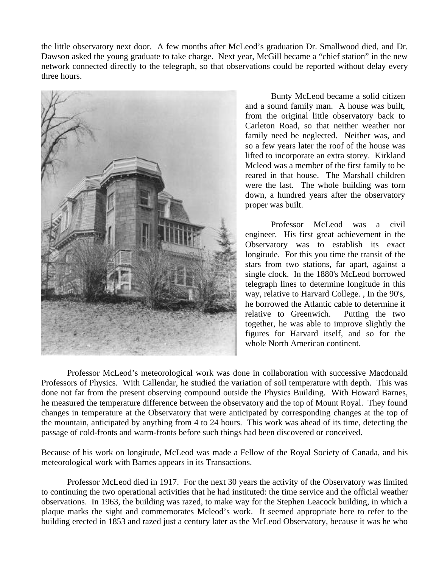the little observatory next door. A few months after McLeod's graduation Dr. Smallwood died, and Dr. Dawson asked the young graduate to take charge. Next year, McGill became a "chief station" in the new network connected directly to the telegraph, so that observations could be reported without delay every three hours.



Bunty McLeod became a solid citizen and a sound family man. A house was built, from the original little observatory back to Carleton Road, so that neither weather nor family need be neglected. Neither was, and so a few years later the roof of the house was lifted to incorporate an extra storey. Kirkland Mcleod was a member of the first family to be reared in that house. The Marshall children were the last. The whole building was torn down, a hundred years after the observatory proper was built.

Professor McLeod was a civil engineer. His first great achievement in the Observatory was to establish its exact longitude. For this you time the transit of the stars from two stations, far apart, against a single clock. In the 1880's McLeod borrowed telegraph lines to determine longitude in this way, relative to Harvard College. , In the 90's, he borrowed the Atlantic cable to determine it relative to Greenwich. Putting the two together, he was able to improve slightly the figures for Harvard itself, and so for the whole North American continent.

Professor McLeod's meteorological work was done in collaboration with successive Macdonald Professors of Physics. With Callendar, he studied the variation of soil temperature with depth. This was done not far from the present observing compound outside the Physics Building. With Howard Barnes, he measured the temperature difference between the observatory and the top of Mount Royal. They found changes in temperature at the Observatory that were anticipated by corresponding changes at the top of the mountain, anticipated by anything from 4 to 24 hours. This work was ahead of its time, detecting the passage of cold-fronts and warm-fronts before such things had been discovered or conceived.

Because of his work on longitude, McLeod was made a Fellow of the Royal Society of Canada, and his meteorological work with Barnes appears in its Transactions.

Professor McLeod died in 1917. For the next 30 years the activity of the Observatory was limited to continuing the two operational activities that he had instituted: the time service and the official weather observations. In 1963, the building was razed, to make way for the Stephen Leacock building, in which a plaque marks the sight and commemorates Mcleod's work. It seemed appropriate here to refer to the building erected in 1853 and razed just a century later as the McLeod Observatory, because it was he who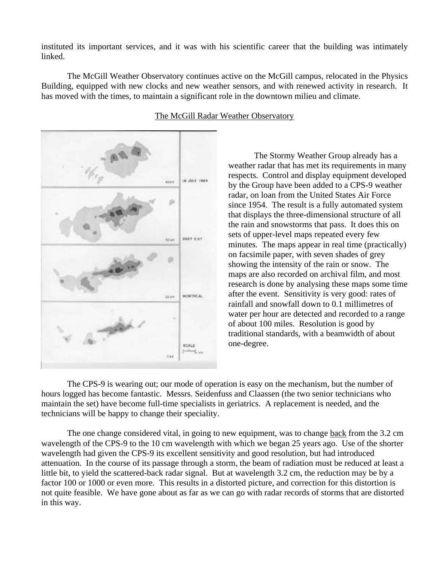instituted its important services, and it was with his scientific career that the building was intimately linked.

The McGill Weather Observatory continues active on the McGill campus, relocated in the Physics Building, equipped with new clocks and new weather sensors, and with renewed activity in research. It has moved with the times, to maintain a significant role in the downtown milieu and climate.



## The McGill Radar Weather Observatory

The Stormy Weather Group already has a weather radar that has met its requirements in many respects. Control and display equipment developed by the Group have been added to a CPS-9 weather radar, on loan from the United States Air Force since 1954. The result is a fully automated system that displays the three-dimensional structure of all the rain and snowstorms that pass. It does this on sets of upper-level maps repeated every few minutes. The maps appear in real time (practically) on facsimile paper, with seven shades of grey showing the intensity of the rain or snow. The maps are also recorded on archival film, and most research is done by analysing these maps some time after the event. Sensitivity is very good: rates of rainfall and snowfall down to 0.1 millimetres of water per hour are detected and recorded to a range of about 100 miles. Resolution is good by traditional standards, with a beamwidth of about one-degree.

The CPS-9 is wearing out; our mode of operation is easy on the mechanism, but the number of hours logged has become fantastic. Messrs. Seidenfuss and Claassen (the two senior technicians who maintain the set) have become full-time specialists in geriatrics. A replacement is needed, and the technicians will be happy to change their speciality.

The one change considered vital, in going to new equipment, was to change back from the 3.2 cm wavelength of the CPS-9 to the 10 cm wavelength with which we began 25 years ago. Use of the shorter wavelength had given the CPS-9 its excellent sensitivity and good resolution, but had introduced attenuation. In the course of its passage through a storm, the beam of radiation must be reduced at least a little bit, to yield the scattered-back radar signal. But at wavelength 3.2 cm, the reduction may be by a factor 100 or 1000 or even more. This results in a distorted picture, and correction for this distortion is not quite feasible. We have gone about as far as we can go with radar records of storms that are distorted in this way.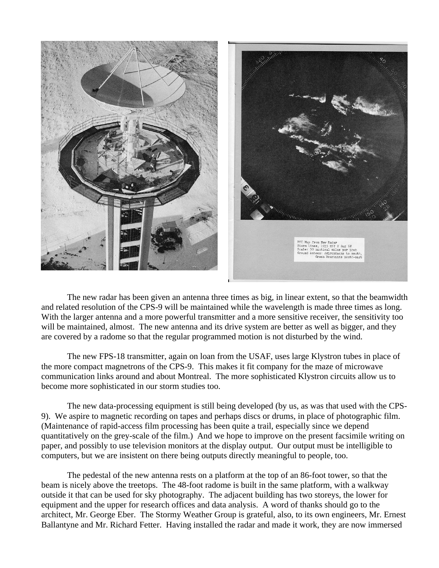

The new radar has been given an antenna three times as big, in linear extent, so that the beamwidth and related resolution of the CPS-9 will be maintained while the wavelength is made three times as long. With the larger antenna and a more powerful transmitter and a more sensitive receiver, the sensitivity too will be maintained, almost. The new antenna and its drive system are better as well as bigger, and they are covered by a radome so that the regular programmed motion is not disturbed by the wind.

The new FPS-18 transmitter, again on loan from the USAF, uses large Klystron tubes in place of the more compact magnetrons of the CPS-9. This makes it fit company for the maze of microwave communication links around and about Montreal. The more sophisticated Klystron circuits allow us to become more sophisticated in our storm studies too.

The new data-processing equipment is still being developed (by us, as was that used with the CPS-9). We aspire to magnetic recording on tapes and perhaps discs or drums, in place of photographic film. (Maintenance of rapid-access film processing has been quite a trail, especially since we depend quantitatively on the grey-scale of the film.) And we hope to improve on the present facsimile writing on paper, and possibly to use television monitors at the display output. Our output must be intelligible to computers, but we are insistent on there being outputs directly meaningful to people, too.

The pedestal of the new antenna rests on a platform at the top of an 86-foot tower, so that the beam is nicely above the treetops. The 48-foot radome is built in the same platform, with a walkway outside it that can be used for sky photography. The adjacent building has two storeys, the lower for equipment and the upper for research offices and data analysis. A word of thanks should go to the architect, Mr. George Eber. The Stormy Weather Group is grateful, also, to its own engineers, Mr. Ernest Ballantyne and Mr. Richard Fetter. Having installed the radar and made it work, they are now immersed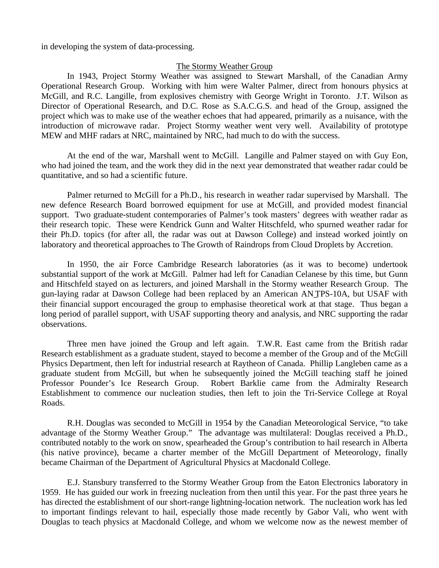in developing the system of data-processing.

#### The Stormy Weather Group

In 1943, Project Stormy Weather was assigned to Stewart Marshall, of the Canadian Army Operational Research Group. Working with him were Walter Palmer, direct from honours physics at McGill, and R.C. Langille, from explosives chemistry with George Wright in Toronto. J.T. Wilson as Director of Operational Research, and D.C. Rose as S.A.C.G.S. and head of the Group, assigned the project which was to make use of the weather echoes that had appeared, primarily as a nuisance, with the introduction of microwave radar. Project Stormy weather went very well. Availability of prototype MEW and MHF radars at NRC, maintained by NRC, had much to do with the success.

At the end of the war, Marshall went to McGill. Langille and Palmer stayed on with Guy Eon, who had joined the team, and the work they did in the next year demonstrated that weather radar could be quantitative, and so had a scientific future.

Palmer returned to McGill for a Ph.D., his research in weather radar supervised by Marshall. The new defence Research Board borrowed equipment for use at McGill, and provided modest financial support. Two graduate-student contemporaries of Palmer's took masters' degrees with weather radar as their research topic. These were Kendrick Gunn and Walter Hitschfeld, who spurned weather radar for their Ph.D. topics (for after all, the radar was out at Dawson College) and instead worked jointly on laboratory and theoretical approaches to The Growth of Raindrops from Cloud Droplets by Accretion.

In 1950, the air Force Cambridge Research laboratories (as it was to become) undertook substantial support of the work at McGill. Palmer had left for Canadian Celanese by this time, but Gunn and Hitschfeld stayed on as lecturers, and joined Marshall in the Stormy weather Research Group. The gun-laying radar at Dawson College had been replaced by an American AN\_TPS-10A, but USAF with their financial support encouraged the group to emphasise theoretical work at that stage. Thus began a long period of parallel support, with USAF supporting theory and analysis, and NRC supporting the radar observations.

Three men have joined the Group and left again. T.W.R. East came from the British radar Research establishment as a graduate student, stayed to become a member of the Group and of the McGill Physics Department, then left for industrial research at Raytheon of Canada. Phillip Langleben came as a graduate student from McGill, but when he subsequently joined the McGill teaching staff he joined Professor Pounder's Ice Research Group. Robert Barklie came from the Admiralty Research Establishment to commence our nucleation studies, then left to join the Tri-Service College at Royal Roads.

R.H. Douglas was seconded to McGill in 1954 by the Canadian Meteorological Service, "to take advantage of the Stormy Weather Group." The advantage was multilateral: Douglas received a Ph.D., contributed notably to the work on snow, spearheaded the Group's contribution to hail research in Alberta (his native province), became a charter member of the McGill Department of Meteorology, finally became Chairman of the Department of Agricultural Physics at Macdonald College.

E.J. Stansbury transferred to the Stormy Weather Group from the Eaton Electronics laboratory in 1959. He has guided our work in freezing nucleation from then until this year. For the past three years he has directed the establishment of our short-range lightning-location network. The nucleation work has led to important findings relevant to hail, especially those made recently by Gabor Vali, who went with Douglas to teach physics at Macdonald College, and whom we welcome now as the newest member of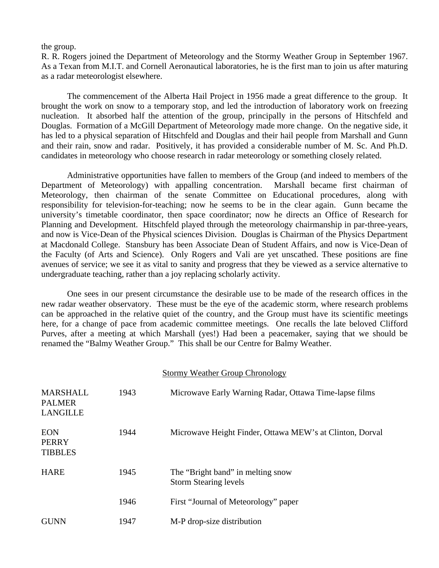#### the group.

R. R. Rogers joined the Department of Meteorology and the Stormy Weather Group in September 1967. As a Texan from M.I.T. and Cornell Aeronautical laboratories, he is the first man to join us after maturing as a radar meteorologist elsewhere.

The commencement of the Alberta Hail Project in 1956 made a great difference to the group. It brought the work on snow to a temporary stop, and led the introduction of laboratory work on freezing nucleation. It absorbed half the attention of the group, principally in the persons of Hitschfeld and Douglas. Formation of a McGill Department of Meteorology made more change. On the negative side, it has led to a physical separation of Hitschfeld and Douglas and their hail people from Marshall and Gunn and their rain, snow and radar. Positively, it has provided a considerable number of M. Sc. And Ph.D. candidates in meteorology who choose research in radar meteorology or something closely related.

Administrative opportunities have fallen to members of the Group (and indeed to members of the Department of Meteorology) with appalling concentration. Marshall became first chairman of Meteorology, then chairman of the senate Committee on Educational procedures, along with responsibility for television-for-teaching; now he seems to be in the clear again. Gunn became the university's timetable coordinator, then space coordinator; now he directs an Office of Research for Planning and Development. Hitschfeld played through the meteorology chairmanship in par-three-years, and now is Vice-Dean of the Physical sciences Division. Douglas is Chairman of the Physics Department at Macdonald College. Stansbury has been Associate Dean of Student Affairs, and now is Vice-Dean of the Faculty (of Arts and Science). Only Rogers and Vali are yet unscathed. These positions are fine avenues of service; we see it as vital to sanity and progress that they be viewed as a service alternative to undergraduate teaching, rather than a joy replacing scholarly activity.

One sees in our present circumstance the desirable use to be made of the research offices in the new radar weather observatory. These must be the eye of the academic storm, where research problems can be approached in the relative quiet of the country, and the Group must have its scientific meetings here, for a change of pace from academic committee meetings. One recalls the late beloved Clifford Purves, after a meeting at which Marshall (yes!) Had been a peacemaker, saying that we should be renamed the "Balmy Weather Group." This shall be our Centre for Balmy Weather.

|                                                     |      | <b>Stormy Weather Group Chronology</b>                            |
|-----------------------------------------------------|------|-------------------------------------------------------------------|
| <b>MARSHALL</b><br><b>PALMER</b><br><b>LANGILLE</b> | 1943 | Microwave Early Warning Radar, Ottawa Time-lapse films            |
| <b>EON</b><br><b>PERRY</b><br><b>TIBBLES</b>        | 1944 | Microwave Height Finder, Ottawa MEW's at Clinton, Dorval          |
| <b>HARE</b>                                         | 1945 | The "Bright band" in melting snow<br><b>Storm Stearing levels</b> |
|                                                     | 1946 | First "Journal of Meteorology" paper                              |
| <b>GUNN</b>                                         | 1947 | M-P drop-size distribution                                        |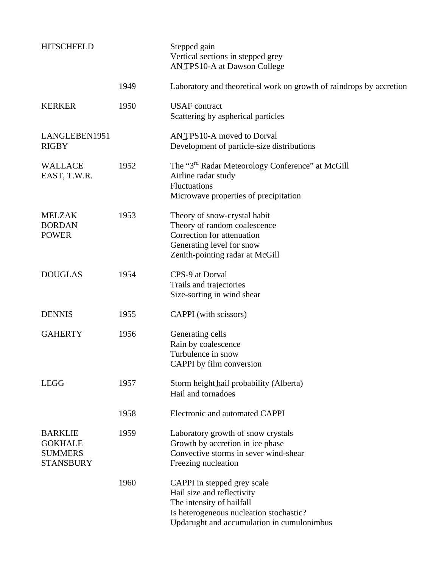| <b>HITSCHFELD</b>                                                      |      | Stepped gain<br>Vertical sections in stepped grey<br>ANTPS10-A at Dawson College                                                                                                |
|------------------------------------------------------------------------|------|---------------------------------------------------------------------------------------------------------------------------------------------------------------------------------|
|                                                                        | 1949 | Laboratory and theoretical work on growth of raindrops by accretion                                                                                                             |
| <b>KERKER</b>                                                          | 1950 | <b>USAF</b> contract<br>Scattering by aspherical particles                                                                                                                      |
| LANGLEBEN1951<br><b>RIGBY</b>                                          |      | ANTPS10-A moved to Dorval<br>Development of particle-size distributions                                                                                                         |
| <b>WALLACE</b><br>EAST, T.W.R.                                         | 1952 | The "3 <sup>rd</sup> Radar Meteorology Conference" at McGill<br>Airline radar study<br><b>Fluctuations</b><br>Microwave properties of precipitation                             |
| <b>MELZAK</b><br><b>BORDAN</b><br><b>POWER</b>                         | 1953 | Theory of snow-crystal habit<br>Theory of random coalescence<br>Correction for attenuation<br>Generating level for snow<br>Zenith-pointing radar at McGill                      |
| <b>DOUGLAS</b>                                                         | 1954 | CPS-9 at Dorval<br>Trails and trajectories<br>Size-sorting in wind shear                                                                                                        |
| <b>DENNIS</b>                                                          | 1955 | CAPPI (with scissors)                                                                                                                                                           |
| <b>GAHERTY</b>                                                         | 1956 | Generating cells<br>Rain by coalescence<br>Turbulence in snow<br>CAPPI by film conversion                                                                                       |
| <b>LEGG</b>                                                            | 1957 | Storm height hail probability (Alberta)<br>Hail and tornadoes                                                                                                                   |
|                                                                        | 1958 | Electronic and automated CAPPI                                                                                                                                                  |
| <b>BARKLIE</b><br><b>GOKHALE</b><br><b>SUMMERS</b><br><b>STANSBURY</b> | 1959 | Laboratory growth of snow crystals<br>Growth by accretion in ice phase<br>Convective storms in sever wind-shear<br>Freezing nucleation                                          |
|                                                                        | 1960 | CAPPI in stepped grey scale<br>Hail size and reflectivity<br>The intensity of hailfall<br>Is heterogeneous nucleation stochastic?<br>Updarught and accumulation in cumulonimbus |